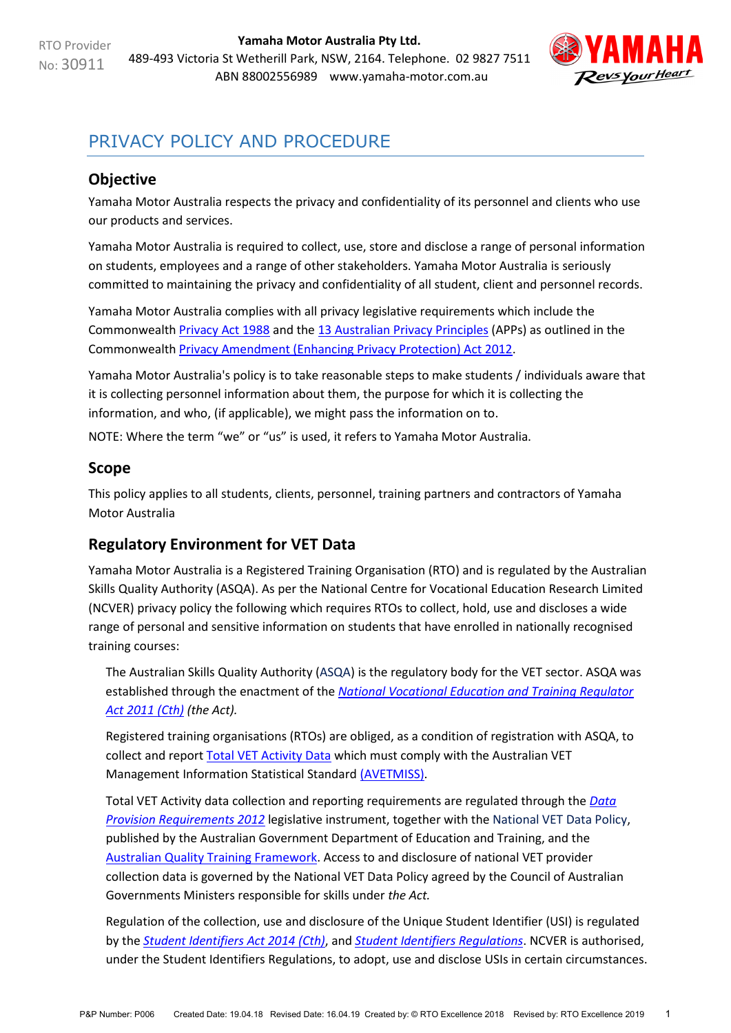**Yamaha Motor Australia Pty Ltd.**  489-493 Victoria St Wetherill Park, NSW, 2164. Telephone. 02 9827 7511 ABN 88002556989 [www.yamaha-motor.com.au](http://www.yamaha-motor.com.au/)



# PRIVACY POLICY AND PROCEDURE

# <span id="page-0-1"></span>**Objective**

Yamaha Motor Australia respects the privacy and confidentiality of its personnel and clients who use our products and services.

Yamaha Motor Australia is required to collect, use, store and disclose a range of personal information on students, employees and a range of other stakeholders. Yamaha Motor Australia is seriously committed to maintaining the privacy and confidentiality of all student, client and personnel records.

Yamaha Motor Australia complies with all privacy legislative requirements which include the Commonwealth [Privacy Act 1988](https://www.comlaw.gov.au/Series/C2004A03712) and the [13 Australian Privacy Principles](http://www.oaic.gov.au/individuals/privacy-fact-sheets/general/privacy-fact-sheet-17-australian-privacy-principles) (APPs) as outlined in the Commonwealth [Privacy Amendment \(Enhancing Privacy Protection\) Act 2012.](https://www.legislation.gov.au/Details/C2015C00053)

Yamaha Motor Australia's policy is to take reasonable steps to make students / individuals aware that it is collecting personnel information about them, the purpose for which it is collecting the information, and who, (if applicable), we might pass the information on to.

NOTE: Where the term "we" or "us" is used, it refers to Yamaha Motor Australia.

#### **Scope**

This policy applies to all students, clients, personnel, training partners and contractors of Yamaha Motor Australia

## <span id="page-0-0"></span>**Regulatory Environment for VET Data**

Yamaha Motor Australia is a Registered Training Organisation (RTO) and is regulated by the Australian Skills Quality Authority (ASQA). As per the National Centre for Vocational Education Research Limited (NCVER) privacy policy the following which requires RTOs to collect, hold, use and discloses a wide range of personal and sensitive information on students that have enrolled in nationally recognised training courses:

The Australian Skills Quality Authority [\(ASQA\)](https://www.asqa.gov.au/vet-registration) is the regulatory body for the VET sector. ASQA was established through the enactment of the *[National Vocational Education and Training Regulator](https://www.legislation.gov.au/Details/C2017C00245)  [Act 2011 \(Cth\)](https://www.legislation.gov.au/Details/C2017C00245) (the Act).*

Registered training organisations (RTOs) are obliged, as a condition of registration with ASQA, to collect and report [Total VET Activity Data](https://www.asqa.gov.au/vet-registration/meet-data-provision-requirements/total-vet-activity-reporting) which must comply with the Australian VET Management Information Statistical Standard [\(AVETMISS\).](https://www.ncver.edu.au/rto-hub/avetmiss-support-for-rtos)

Total VET Activity data collection and reporting requirements are regulated through the *[Data](https://www.legislation.gov.au/Details/F2013C00497)  [Provision Requirements 2012](https://www.legislation.gov.au/Details/F2013C00497)* legislative instrument, together with the [National VET Data Policy,](https://www.education.gov.au/national-vet-data-policy-0) published by the Australian Government Department of Education and Training, and the [Australian Quality Training Framework.](http://www.ivet.com.au/a/184.html) Access to and disclosure of national VET provider collection data is governed by the National VET Data Policy agreed by the Council of Australian Governments Ministers responsible for skills under *the Act.*

Regulation of the collection, use and disclosure of the Unique Student Identifier (USI) is regulated by the *[Student Identifiers Act 2014 \(Cth\)](https://www.legislation.gov.au/Details/C2017C00038)*, and *[Student Identifiers Regulations](https://www.legislation.gov.au/Details/F2014L01204)*. NCVER is authorised, under the Student Identifiers Regulations, to adopt, use and disclose USIs in certain circumstances.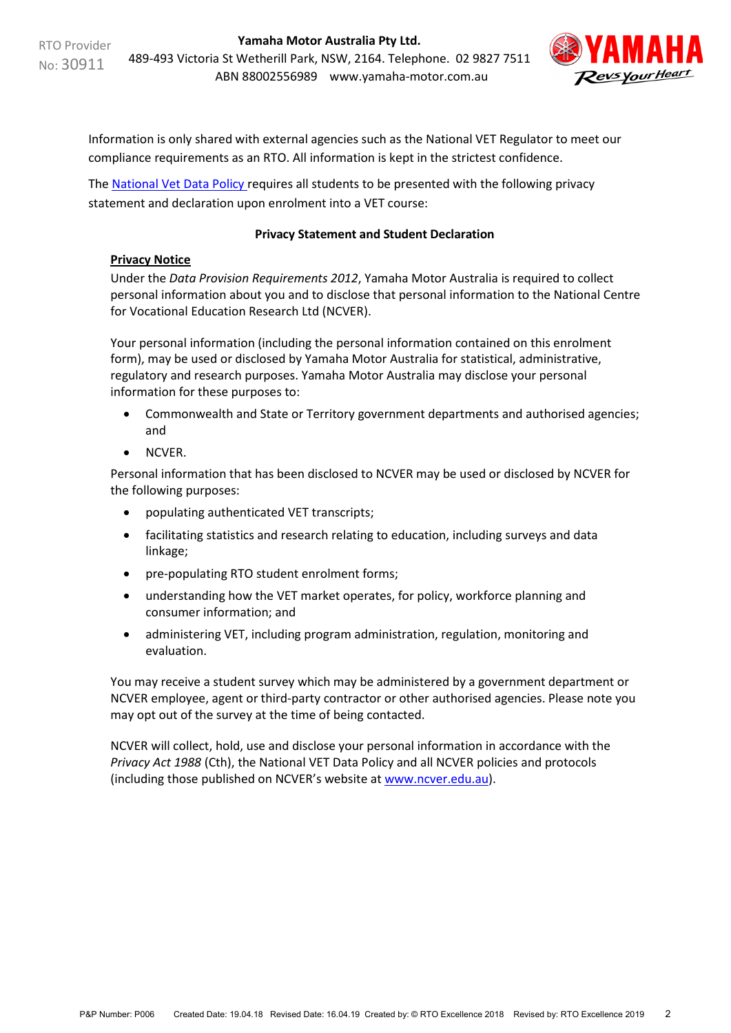

Information is only shared with external agencies such as the National VET Regulator to meet our compliance requirements as an RTO. All information is kept in the strictest confidence.

The [National Vet Data Policy r](https://www.education.gov.au/national-vet-data-policy-0)equires all students to be presented with the following privacy statement and declaration upon enrolment into a VET course:

#### **Privacy Statement and Student Declaration**

#### **Privacy Notice**

Under the *Data Provision Requirements 2012*, Yamaha Motor Australia is required to collect personal information about you and to disclose that personal information to the National Centre for Vocational Education Research Ltd (NCVER).

Your personal information (including the personal information contained on this enrolment form), may be used or disclosed by Yamaha Motor Australia for statistical, administrative, regulatory and research purposes. Yamaha Motor Australia may disclose your personal information for these purposes to:

- Commonwealth and State or Territory government departments and authorised agencies; and
- NCVER.

Personal information that has been disclosed to NCVER may be used or disclosed by NCVER for the following purposes:

- populating authenticated VET transcripts;
- facilitating statistics and research relating to education, including surveys and data linkage;
- pre-populating RTO student enrolment forms;
- understanding how the VET market operates, for policy, workforce planning and consumer information; and
- administering VET, including program administration, regulation, monitoring and evaluation.

You may receive a student survey which may be administered by a government department or NCVER employee, agent or third-party contractor or other authorised agencies. Please note you may opt out of the survey at the time of being contacted.

NCVER will collect, hold, use and disclose your personal information in accordance with the *Privacy Act 1988* (Cth), the National VET Data Policy and all NCVER policies and protocols (including those published on NCVER's website at [www.ncver.edu.au\)](https://www.ncver.edu.au/).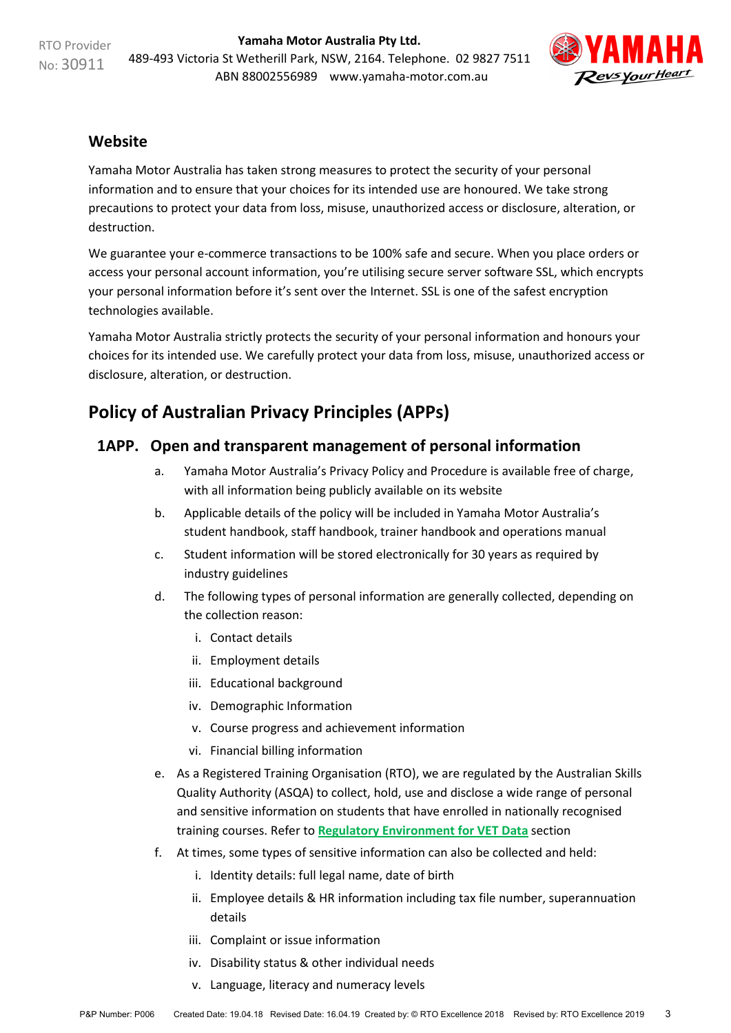RTO Provider No: 30911

**Yamaha Motor Australia Pty Ltd.**  489-493 Victoria St Wetherill Park, NSW, 2164. Telephone. 02 9827 7511 ABN 88002556989 [www.yamaha-motor.com.au](http://www.yamaha-motor.com.au/)



#### **Website**

Yamaha Motor Australia has taken strong measures to protect the security of your personal information and to ensure that your choices for its intended use are honoured. We take strong precautions to protect your data from loss, misuse, unauthorized access or disclosure, alteration, or destruction.

We guarantee your e-commerce transactions to be 100% safe and secure. When you place orders or access your personal account information, you're utilising secure server software SSL, which encrypts your personal information before it's sent over the Internet. SSL is one of the safest encryption technologies available.

Yamaha Motor Australia strictly protects the security of your personal information and honours your choices for its intended use. We carefully protect your data from loss, misuse, unauthorized access or disclosure, alteration, or destruction.

# **Policy of Australian Privacy Principles (APPs)**

## <span id="page-2-0"></span>**1APP. Open and transparent management of personal information**

- a. Yamaha Motor Australia's Privacy Policy and Procedure is available free of charge, with all information being publicly available on its website
- b. Applicable details of the policy will be included in Yamaha Motor Australia's student handbook, staff handbook, trainer handbook and operations manual
- c. Student information will be stored electronically for 30 years as required by industry guidelines
- d. The following types of personal information are generally collected, depending on the collection reason:
	- i. Contact details
	- ii. Employment details
	- iii. Educational background
	- iv. Demographic Information
	- v. Course progress and achievement information
	- vi. Financial billing information
- e. As a Registered Training Organisation (RTO), we are regulated by the Australian Skills Quality Authority (ASQA) to collect, hold, use and disclose a wide range of personal and sensitive information on students that have enrolled in nationally recognised training courses. Refer to **[Regulatory Environment for VET Data](#page-0-0)** section
- f. At times, some types of sensitive information can also be collected and held:
	- i. Identity details: full legal name, date of birth
	- ii. Employee details & HR information including tax file number, superannuation details
	- iii. Complaint or issue information
	- iv. Disability status & other individual needs
	- v. Language, literacy and numeracy levels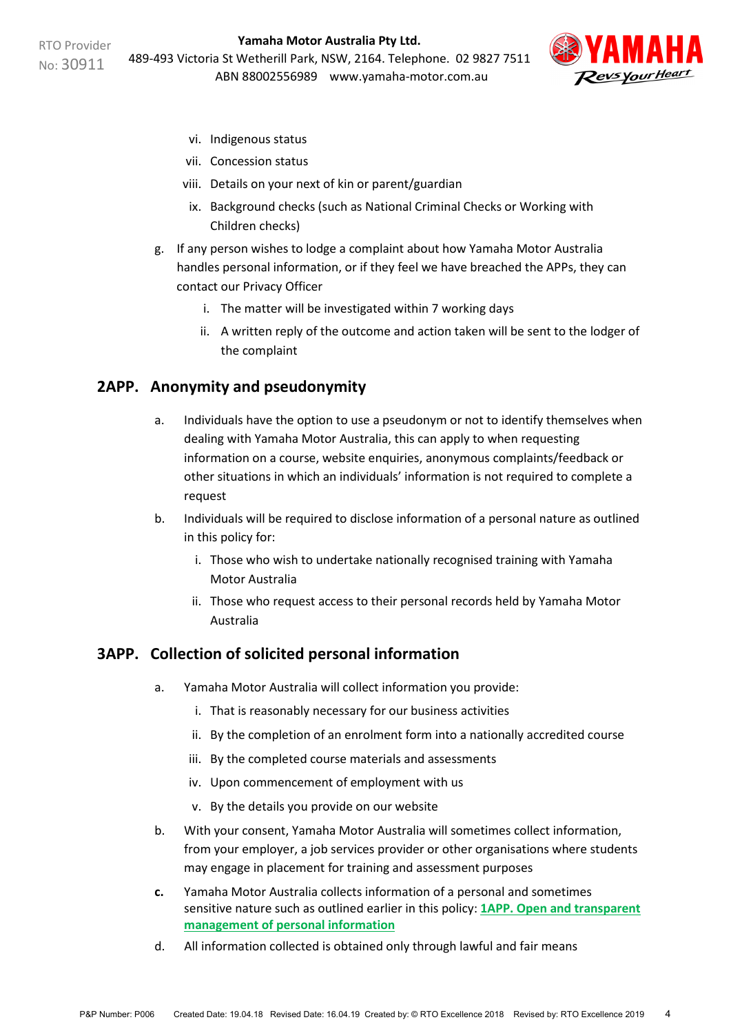

- vi. Indigenous status
- vii. Concession status
- viii. Details on your next of kin or parent/guardian
- ix. Background checks (such as National Criminal Checks or Working with Children checks)
- g. If any person wishes to lodge a complaint about how Yamaha Motor Australia handles personal information, or if they feel we have breached the APPs, they can contact our Privacy Officer
	- i. The matter will be investigated within 7 working days
	- ii. A written reply of the outcome and action taken will be sent to the lodger of the complaint

#### **2APP. Anonymity and pseudonymity**

- a. Individuals have the option to use a pseudonym or not to identify themselves when dealing with Yamaha Motor Australia, this can apply to when requesting information on a course, website enquiries, anonymous complaints/feedback or other situations in which an individuals' information is not required to complete a request
- b. Individuals will be required to disclose information of a personal nature as outlined in this policy for:
	- i. Those who wish to undertake nationally recognised training with Yamaha Motor Australia
	- ii. Those who request access to their personal records held by Yamaha Motor Australia

#### **3APP. Collection of solicited personal information**

- a. Yamaha Motor Australia will collect information you provide:
	- i. That is reasonably necessary for our business activities
	- ii. By the completion of an enrolment form into a nationally accredited course
	- iii. By the completed course materials and assessments
	- iv. Upon commencement of employment with us
	- v. By the details you provide on our website
- b. With your consent, Yamaha Motor Australia will sometimes collect information, from your employer, a job services provider or other organisations where students may engage in placement for training and assessment purposes
- **c.** Yamaha Motor Australia collects information of a personal and sometimes sensitive nature such as outlined earlier in this policy: **[1APP. Open and transparent](#page-2-0)  [management of personal information](#page-2-0)**
- d. All information collected is obtained only through lawful and fair means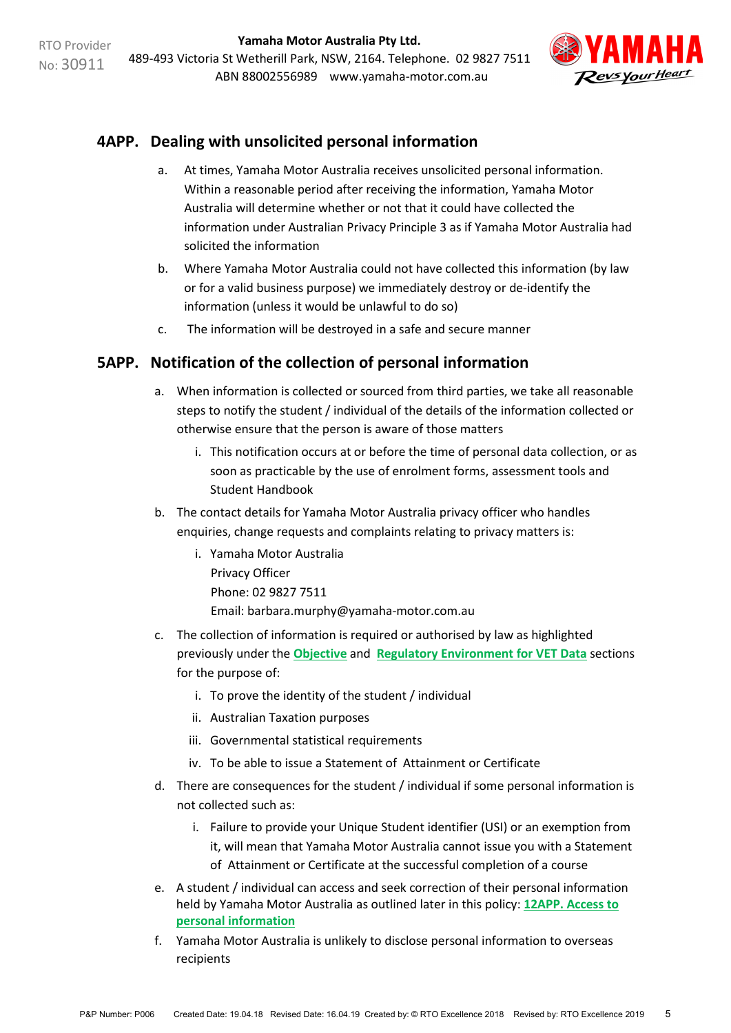

# **4APP. Dealing with unsolicited personal information**

- a. At times, Yamaha Motor Australia receives unsolicited personal information. Within a reasonable period after receiving the information, Yamaha Motor Australia will determine whether or not that it could have collected the information under Australian Privacy Principle 3 as if Yamaha Motor Australia had solicited the information
- b. Where Yamaha Motor Australia could not have collected this information (by law or for a valid business purpose) we immediately destroy or de-identify the information (unless it would be unlawful to do so)
- c. The information will be destroyed in a safe and secure manner

## **5APP. Notification of the collection of personal information**

- a. When information is collected or sourced from third parties, we take all reasonable steps to notify the student / individual of the details of the information collected or otherwise ensure that the person is aware of those matters
	- i. This notification occurs at or before the time of personal data collection, or as soon as practicable by the use of enrolment forms, assessment tools and Student Handbook
- b. The contact details for Yamaha Motor Australia privacy officer who handles enquiries, change requests and complaints relating to privacy matters is:
	- i. Yamaha Motor Australia Privacy Officer Phone: 02 9827 7511 Email: barbara.murphy@yamaha-motor.com.au
- c. The collection of information is required or authorised by law as highlighted previously under the **[Objective](#page-0-1)** and **[Regulatory Environment for VET Data](#page-0-0)** sections for the purpose of:
	- i. To prove the identity of the student / individual
	- ii. Australian Taxation purposes
	- iii. Governmental statistical requirements
	- iv. To be able to issue a Statement of Attainment or Certificate
- d. There are consequences for the student / individual if some personal information is not collected such as:
	- i. Failure to provide your Unique Student identifier (USI) or an exemption from it, will mean that Yamaha Motor Australia cannot issue you with a Statement of Attainment or Certificate at the successful completion of a course
- e. A student / individual can access and seek correction of their personal information held by Yamaha Motor Australia as outlined later in this policy: **[12APP. Access to](#page-7-0)  [personal information](#page-7-0)**
- f. Yamaha Motor Australia is unlikely to disclose personal information to overseas recipients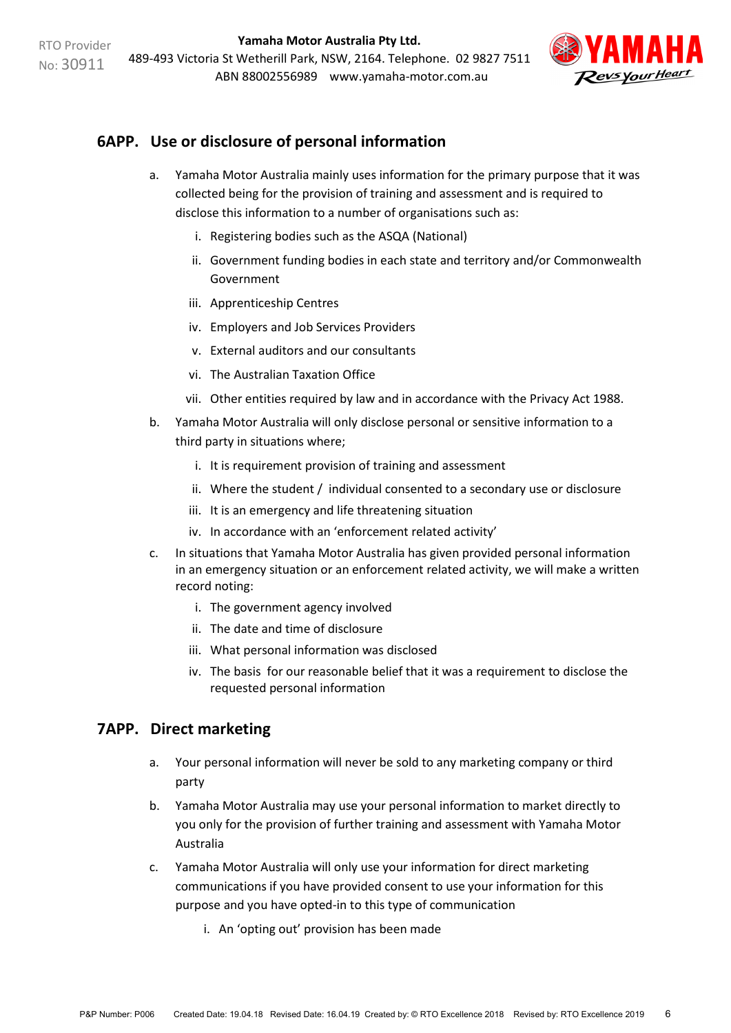

# **6APP. Use or disclosure of personal information**

- a. Yamaha Motor Australia mainly uses information for the primary purpose that it was collected being for the provision of training and assessment and is required to disclose this information to a number of organisations such as:
	- i. Registering bodies such as the ASQA (National)
	- ii. Government funding bodies in each state and territory and/or Commonwealth Government
	- iii. Apprenticeship Centres
	- iv. Employers and Job Services Providers
	- v. External auditors and our consultants
	- vi. The Australian Taxation Office
	- vii. Other entities required by law and in accordance with the Privacy Act 1988.
- b. Yamaha Motor Australia will only disclose personal or sensitive information to a third party in situations where;
	- i. It is requirement provision of training and assessment
	- ii. Where the student / individual consented to a secondary use or disclosure
	- iii. It is an emergency and life threatening situation
	- iv. In accordance with an 'enforcement related activity'
- c. In situations that Yamaha Motor Australia has given provided personal information in an emergency situation or an enforcement related activity, we will make a written record noting:
	- i. The government agency involved
	- ii. The date and time of disclosure
	- iii. What personal information was disclosed
	- iv. The basis for our reasonable belief that it was a requirement to disclose the requested personal information

## **7APP. Direct marketing**

- a. Your personal information will never be sold to any marketing company or third party
- b. Yamaha Motor Australia may use your personal information to market directly to you only for the provision of further training and assessment with Yamaha Motor Australia
- c. Yamaha Motor Australia will only use your information for direct marketing communications if you have provided consent to use your information for this purpose and you have opted-in to this type of communication
	- i. An 'opting out' provision has been made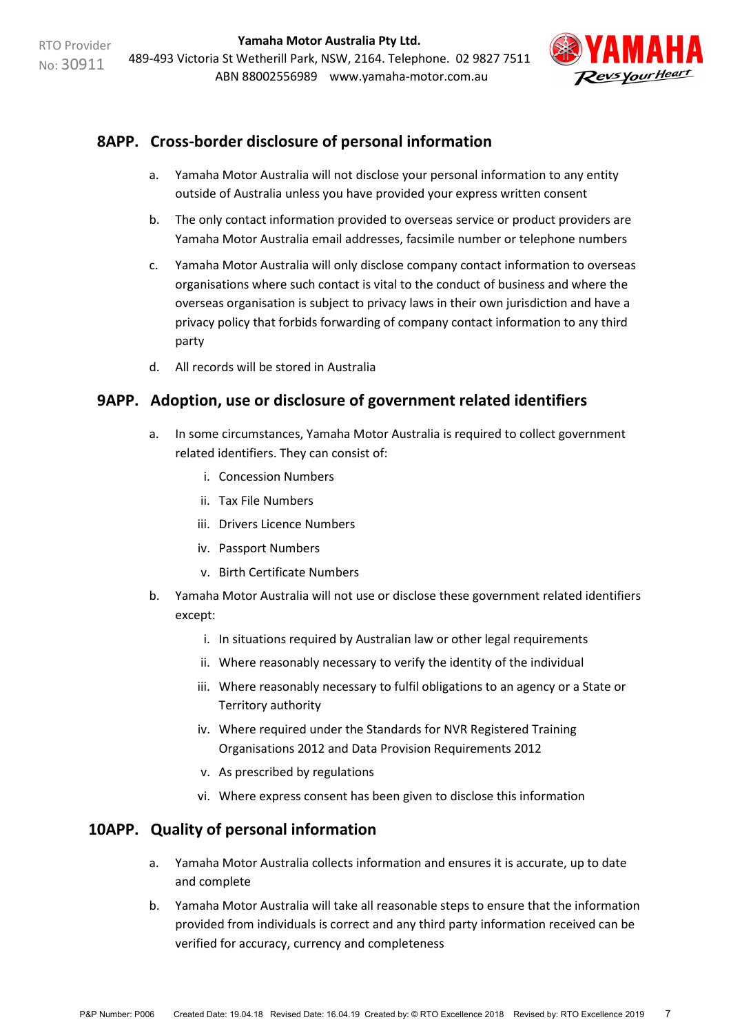

# **8APP. Cross-border disclosure of personal information**

- a. Yamaha Motor Australia will not disclose your personal information to any entity outside of Australia unless you have provided your express written consent
- b. The only contact information provided to overseas service or product providers are Yamaha Motor Australia email addresses, facsimile number or telephone numbers
- c. Yamaha Motor Australia will only disclose company contact information to overseas organisations where such contact is vital to the conduct of business and where the overseas organisation is subject to privacy laws in their own jurisdiction and have a privacy policy that forbids forwarding of company contact information to any third party
- d. All records will be stored in Australia

#### **9APP. Adoption, use or disclosure of government related identifiers**

- a. In some circumstances, Yamaha Motor Australia is required to collect government related identifiers. They can consist of:
	- i. Concession Numbers
	- ii. Tax File Numbers
	- iii. Drivers Licence Numbers
	- iv. Passport Numbers
	- v. Birth Certificate Numbers
- b. Yamaha Motor Australia will not use or disclose these government related identifiers except:
	- i. In situations required by Australian law or other legal requirements
	- ii. Where reasonably necessary to verify the identity of the individual
	- iii. Where reasonably necessary to fulfil obligations to an agency or a State or Territory authority
	- iv. Where required under the Standards for NVR Registered Training Organisations 2012 and Data Provision Requirements 2012
	- v. As prescribed by regulations
	- vi. Where express consent has been given to disclose this information

## **10APP. Quality of personal information**

- a. Yamaha Motor Australia collects information and ensures it is accurate, up to date and complete
- b. Yamaha Motor Australia will take all reasonable steps to ensure that the information provided from individuals is correct and any third party information received can be verified for accuracy, currency and completeness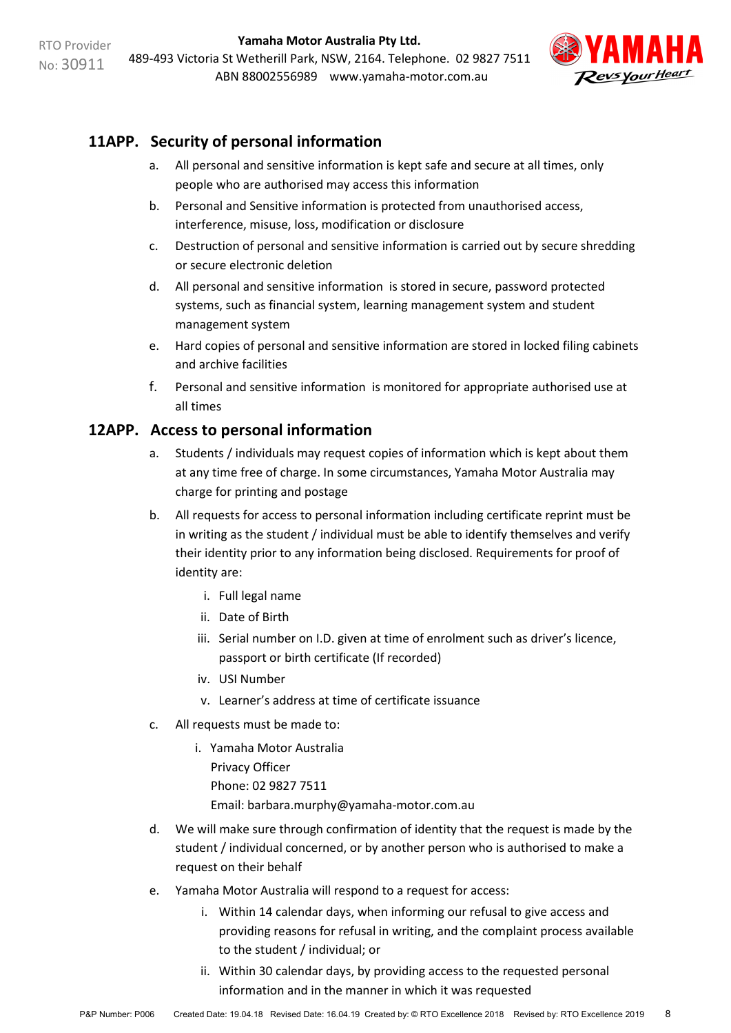

# **11APP. Security of personal information**

- a. All personal and sensitive information is kept safe and secure at all times, only people who are authorised may access this information
- b. Personal and Sensitive information is protected from unauthorised access, interference, misuse, loss, modification or disclosure
- c. Destruction of personal and sensitive information is carried out by secure shredding or secure electronic deletion
- d. All personal and sensitive information is stored in secure, password protected systems, such as financial system, learning management system and student management system
- e. Hard copies of personal and sensitive information are stored in locked filing cabinets and archive facilities
- f. Personal and sensitive information is monitored for appropriate authorised use at all times

#### <span id="page-7-0"></span>**12APP. Access to personal information**

- a. Students / individuals may request copies of information which is kept about them at any time free of charge. In some circumstances, Yamaha Motor Australia may charge for printing and postage
- b. All requests for access to personal information including certificate reprint must be in writing as the student / individual must be able to identify themselves and verify their identity prior to any information being disclosed. Requirements for proof of identity are:
	- i. Full legal name
	- ii. Date of Birth
	- iii. Serial number on I.D. given at time of enrolment such as driver's licence, passport or birth certificate (If recorded)
	- iv. USI Number
	- v. Learner's address at time of certificate issuance
- c. All requests must be made to:
	- i. Yamaha Motor Australia Privacy Officer Phone: 02 9827 7511 Email: barbara.murphy@yamaha-motor.com.au
- d. We will make sure through confirmation of identity that the request is made by the student / individual concerned, or by another person who is authorised to make a request on their behalf
- e. Yamaha Motor Australia will respond to a request for access:
	- i. Within 14 calendar days, when informing our refusal to give access and providing reasons for refusal in writing, and the complaint process available to the student / individual; or
	- ii. Within 30 calendar days, by providing access to the requested personal information and in the manner in which it was requested